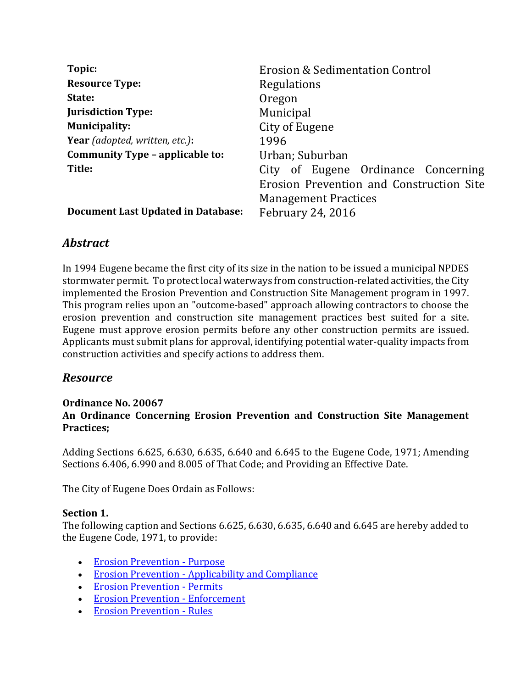| Topic:                                    | <b>Erosion &amp; Sedimentation Control</b> |
|-------------------------------------------|--------------------------------------------|
| <b>Resource Type:</b>                     | Regulations                                |
| State:                                    | Oregon                                     |
| <b>Jurisdiction Type:</b>                 | Municipal                                  |
| <b>Municipality:</b>                      | City of Eugene                             |
| <b>Year</b> (adopted, written, etc.):     | 1996                                       |
| Community Type - applicable to:           | Urban; Suburban                            |
| Title:                                    | City of Eugene Ordinance Concerning        |
|                                           | Erosion Prevention and Construction Site   |
|                                           | <b>Management Practices</b>                |
| <b>Document Last Updated in Database:</b> | <b>February 24, 2016</b>                   |

# *Abstract*

In 1994 Eugene became the first city of its size in the nation to be issued a municipal NPDES stormwater permit. To protect local waterways from construction-related activities, the City implemented the Erosion Prevention and Construction Site Management program in 1997. This program relies upon an "outcome-based" approach allowing contractors to choose the erosion prevention and construction site management practices best suited for a site. Eugene must approve erosion permits before any other construction permits are issued. Applicants must submit plans for approval, identifying potential water-quality impacts from construction activities and specify actions to address them.

# *Resource*

### Ordinance No. 20067 An Ordinance Concerning Erosion Prevention and Construction Site Management Practices;

Adding Sections 6.625, 6.630, 6.635, 6.640 and 6.645 to the Eugene Code, 1971; Amending Sections 6.406, 6.990 and 8.005 of That Code; and Providing an Effective Date.

The City of Eugene Does Ordain as Follows:

## Section 1.

The following caption and Sections 6.625, 6.630, 6.635, 6.640 and 6.645 are hereby added to the Eugene Code, 1971, to provide:

- Erosion Prevention Purpose
- Erosion Prevention Applicability and Compliance
- Erosion Prevention Permits
- Erosion Prevention Enforcement
- Erosion Prevention Rules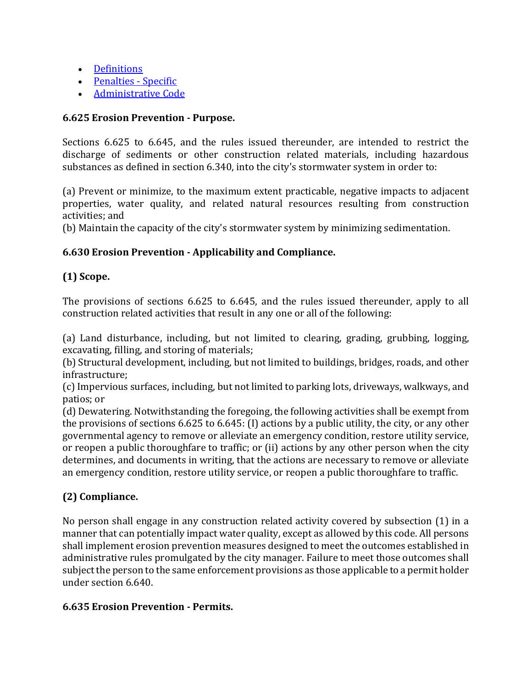- Definitions
- Penalties Specific
- **Administrative Code**

### 6.625 Erosion Prevention - Purpose.

Sections 6.625 to 6.645, and the rules issued thereunder, are intended to restrict the discharge of sediments or other construction related materials, including hazardous substances as defined in section 6.340, into the city's stormwater system in order to:

(a) Prevent or minimize, to the maximum extent practicable, negative impacts to adjacent properties, water quality, and related natural resources resulting from construction activities; and

(b) Maintain the capacity of the city's stormwater system by minimizing sedimentation.

## 6.630 Erosion Prevention - Applicability and Compliance.

## (1) Scope.

The provisions of sections 6.625 to 6.645, and the rules issued thereunder, apply to all construction related activities that result in any one or all of the following:

(a) Land disturbance, including, but not limited to clearing, grading, grubbing, logging, excavating, filling, and storing of materials;

(b) Structural development, including, but not limited to buildings, bridges, roads, and other infrastructure;

(c) Impervious surfaces, including, but not limited to parking lots, driveways, walkways, and patios; or

(d) Dewatering. Notwithstanding the foregoing, the following activities shall be exempt from the provisions of sections 6.625 to 6.645: (I) actions by a public utility, the city, or any other governmental agency to remove or alleviate an emergency condition, restore utility service, or reopen a public thoroughfare to traffic; or (ii) actions by any other person when the city determines, and documents in writing, that the actions are necessary to remove or alleviate an emergency condition, restore utility service, or reopen a public thoroughfare to traffic.

# (2) Compliance.

No person shall engage in any construction related activity covered by subsection (1) in a manner that can potentially impact water quality, except as allowed by this code. All persons shall implement erosion prevention measures designed to meet the outcomes established in administrative rules promulgated by the city manager. Failure to meet those outcomes shall subject the person to the same enforcement provisions as those applicable to a permit holder under section 6.640.

### 6.635 Erosion Prevention - Permits.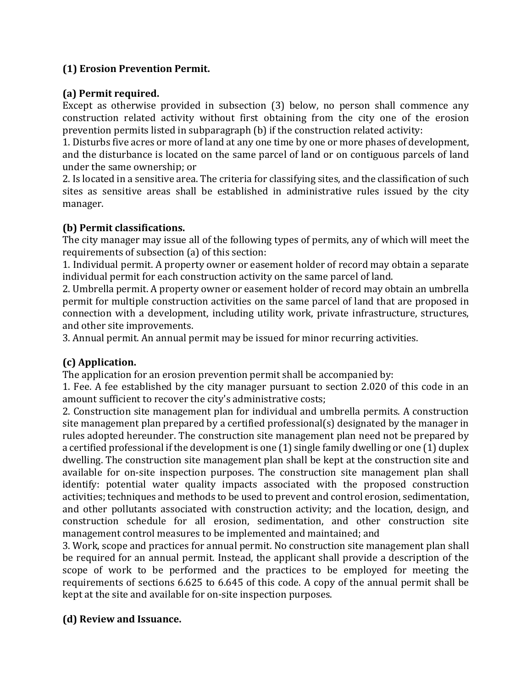## (1) Erosion Prevention Permit.

## (a) Permit required.

Except as otherwise provided in subsection (3) below, no person shall commence any construction related activity without first obtaining from the city one of the erosion prevention permits listed in subparagraph (b) if the construction related activity:

1. Disturbs five acres or more of land at any one time by one or more phases of development, and the disturbance is located on the same parcel of land or on contiguous parcels of land under the same ownership; or

2. Is located in a sensitive area. The criteria for classifying sites, and the classification of such sites as sensitive areas shall be established in administrative rules issued by the city manager.

### (b) Permit classifications.

The city manager may issue all of the following types of permits, any of which will meet the requirements of subsection (a) of this section:

1. Individual permit. A property owner or easement holder of record may obtain a separate individual permit for each construction activity on the same parcel of land.

2. Umbrella permit. A property owner or easement holder of record may obtain an umbrella permit for multiple construction activities on the same parcel of land that are proposed in connection with a development, including utility work, private infrastructure, structures, and other site improvements.

3. Annual permit. An annual permit may be issued for minor recurring activities.

## (c) Application.

The application for an erosion prevention permit shall be accompanied by:

1. Fee. A fee established by the city manager pursuant to section 2.020 of this code in an amount sufficient to recover the city's administrative costs;

2. Construction site management plan for individual and umbrella permits. A construction site management plan prepared by a certified professional(s) designated by the manager in rules adopted hereunder. The construction site management plan need not be prepared by a certified professional if the development is one (1) single family dwelling or one (1) duplex dwelling. The construction site management plan shall be kept at the construction site and available for on-site inspection purposes. The construction site management plan shall identify: potential water quality impacts associated with the proposed construction activities; techniques and methods to be used to prevent and control erosion, sedimentation, and other pollutants associated with construction activity; and the location, design, and construction schedule for all erosion, sedimentation, and other construction site management control measures to be implemented and maintained; and

3. Work, scope and practices for annual permit. No construction site management plan shall be required for an annual permit. Instead, the applicant shall provide a description of the scope of work to be performed and the practices to be employed for meeting the requirements of sections 6.625 to 6.645 of this code. A copy of the annual permit shall be kept at the site and available for on-site inspection purposes.

## (d) Review and Issuance.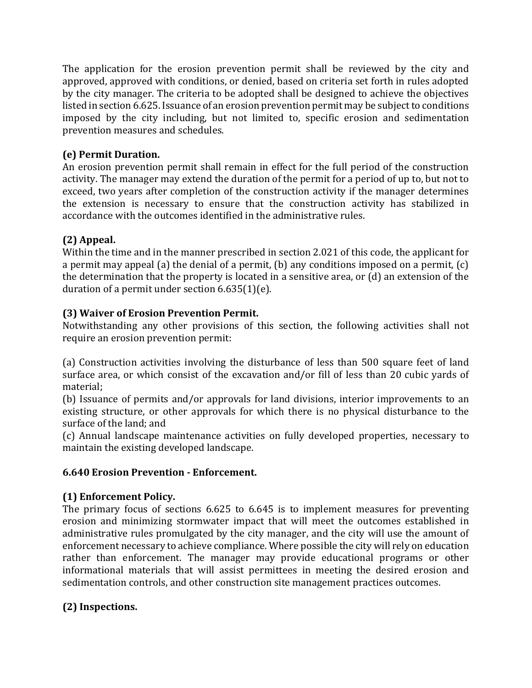The application for the erosion prevention permit shall be reviewed by the city and approved, approved with conditions, or denied, based on criteria set forth in rules adopted by the city manager. The criteria to be adopted shall be designed to achieve the objectives listed in section 6.625. Issuance of an erosion prevention permit may be subject to conditions imposed by the city including, but not limited to, specific erosion and sedimentation prevention measures and schedules.

## (e) Permit Duration.

An erosion prevention permit shall remain in effect for the full period of the construction activity. The manager may extend the duration of the permit for a period of up to, but not to exceed, two years after completion of the construction activity if the manager determines the extension is necessary to ensure that the construction activity has stabilized in accordance with the outcomes identified in the administrative rules.

# (2) Appeal.

Within the time and in the manner prescribed in section 2.021 of this code, the applicant for a permit may appeal (a) the denial of a permit, (b) any conditions imposed on a permit, (c) the determination that the property is located in a sensitive area, or (d) an extension of the duration of a permit under section 6.635(1)(e).

## (3) Waiver of Erosion Prevention Permit.

Notwithstanding any other provisions of this section, the following activities shall not require an erosion prevention permit:

(a) Construction activities involving the disturbance of less than 500 square feet of land surface area, or which consist of the excavation and/or fill of less than 20 cubic yards of material;

(b) Issuance of permits and/or approvals for land divisions, interior improvements to an existing structure, or other approvals for which there is no physical disturbance to the surface of the land; and

(c) Annual landscape maintenance activities on fully developed properties, necessary to maintain the existing developed landscape.

## 6.640 Erosion Prevention - Enforcement.

# (1) Enforcement Policy.

The primary focus of sections 6.625 to 6.645 is to implement measures for preventing erosion and minimizing stormwater impact that will meet the outcomes established in administrative rules promulgated by the city manager, and the city will use the amount of enforcement necessary to achieve compliance. Where possible the city will rely on education rather than enforcement. The manager may provide educational programs or other informational materials that will assist permittees in meeting the desired erosion and sedimentation controls, and other construction site management practices outcomes.

# (2) Inspections.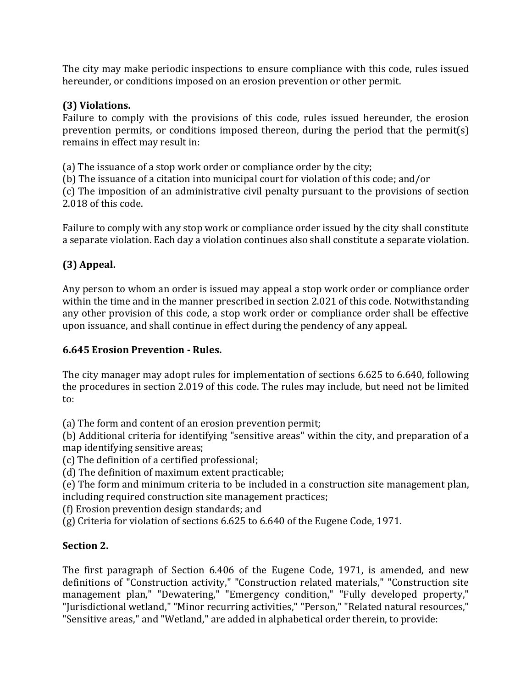The city may make periodic inspections to ensure compliance with this code, rules issued hereunder, or conditions imposed on an erosion prevention or other permit.

## (3) Violations.

Failure to comply with the provisions of this code, rules issued hereunder, the erosion prevention permits, or conditions imposed thereon, during the period that the permit(s) remains in effect may result in:

(a) The issuance of a stop work order or compliance order by the city;

(b) The issuance of a citation into municipal court for violation of this code; and/or

(c) The imposition of an administrative civil penalty pursuant to the provisions of section 2.018 of this code.

Failure to comply with any stop work or compliance order issued by the city shall constitute a separate violation. Each day a violation continues also shall constitute a separate violation.

# (3) Appeal.

Any person to whom an order is issued may appeal a stop work order or compliance order within the time and in the manner prescribed in section 2.021 of this code. Notwithstanding any other provision of this code, a stop work order or compliance order shall be effective upon issuance, and shall continue in effect during the pendency of any appeal.

## 6.645 Erosion Prevention - Rules.

The city manager may adopt rules for implementation of sections 6.625 to 6.640, following the procedures in section 2.019 of this code. The rules may include, but need not be limited to:

(a) The form and content of an erosion prevention permit;

(b) Additional criteria for identifying "sensitive areas" within the city, and preparation of a map identifying sensitive areas;

(c) The definition of a certified professional;

(d) The definition of maximum extent practicable;

(e) The form and minimum criteria to be included in a construction site management plan, including required construction site management practices;

(f) Erosion prevention design standards; and

(g) Criteria for violation of sections 6.625 to 6.640 of the Eugene Code, 1971.

## Section 2.

The first paragraph of Section 6.406 of the Eugene Code, 1971, is amended, and new definitions of "Construction activity," "Construction related materials," "Construction site management plan," "Dewatering," "Emergency condition," "Fully developed property," "Jurisdictional wetland," "Minor recurring activities," "Person," "Related natural resources," "Sensitive areas," and "Wetland," are added in alphabetical order therein, to provide: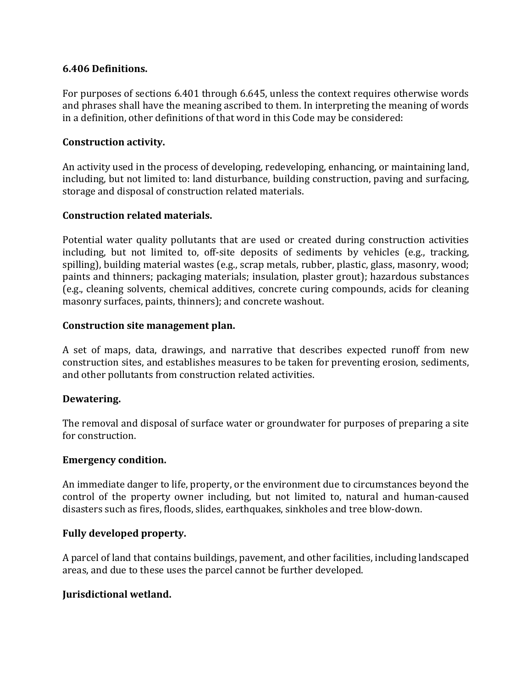### 6.406 Definitions.

For purposes of sections 6.401 through 6.645, unless the context requires otherwise words and phrases shall have the meaning ascribed to them. In interpreting the meaning of words in a definition, other definitions of that word in this Code may be considered:

#### Construction activity.

An activity used in the process of developing, redeveloping, enhancing, or maintaining land, including, but not limited to: land disturbance, building construction, paving and surfacing, storage and disposal of construction related materials.

#### Construction related materials.

Potential water quality pollutants that are used or created during construction activities including, but not limited to, off-site deposits of sediments by vehicles (e.g., tracking, spilling), building material wastes (e.g., scrap metals, rubber, plastic, glass, masonry, wood; paints and thinners; packaging materials; insulation, plaster grout); hazardous substances (e.g., cleaning solvents, chemical additives, concrete curing compounds, acids for cleaning masonry surfaces, paints, thinners); and concrete washout.

#### Construction site management plan.

A set of maps, data, drawings, and narrative that describes expected runoff from new construction sites, and establishes measures to be taken for preventing erosion, sediments, and other pollutants from construction related activities.

### Dewatering.

The removal and disposal of surface water or groundwater for purposes of preparing a site for construction.

#### Emergency condition.

An immediate danger to life, property, or the environment due to circumstances beyond the control of the property owner including, but not limited to, natural and human-caused disasters such as fires, floods, slides, earthquakes, sinkholes and tree blow-down.

#### Fully developed property.

A parcel of land that contains buildings, pavement, and other facilities, including landscaped areas, and due to these uses the parcel cannot be further developed.

### Jurisdictional wetland.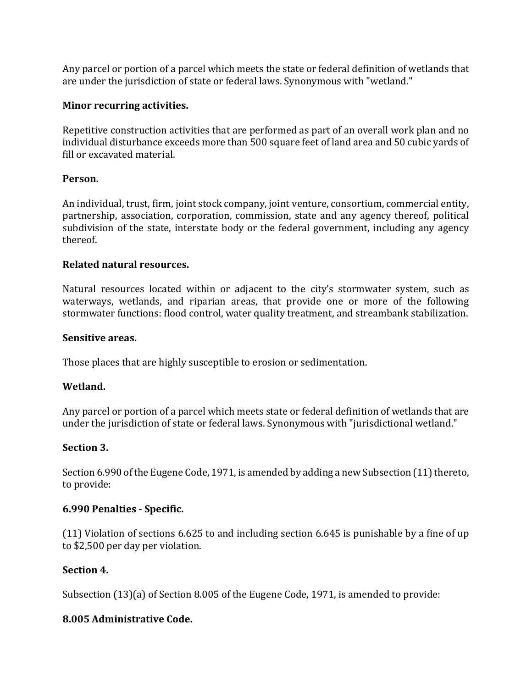Any parcel or portion of a parcel which meets the state or federal definition of wetlands that are under the jurisdiction of state or federal laws. Synonymous with "wetland."

### Minor recurring activities.

Repetitive construction activities that are performed as part of an overall work plan and no individual disturbance exceeds more than 500 square feet of land area and 50 cubic yards of fill or excavated material.

### Person.

An individual, trust, firm, joint stock company, joint venture, consortium, commercial entity, partnership, association, corporation, commission, state and any agency thereof, political subdivision of the state, interstate body or the federal government, including any agency thereof.

### Related natural resources.

Natural resources located within or adjacent to the city's stormwater system, such as waterways, wetlands, and riparian areas, that provide one or more of the following stormwater functions: flood control, water quality treatment, and streambank stabilization.

#### Sensitive areas.

Those places that are highly susceptible to erosion or sedimentation.

### Wetland.

Any parcel or portion of a parcel which meets state or federal definition of wetlands that are under the jurisdiction of state or federal laws. Synonymous with "jurisdictional wetland."

### Section 3.

Section 6.990 of the Eugene Code, 1971, is amended by adding a new Subsection (11) thereto, to provide:

### 6.990 Penalties - Specific.

(11) Violation of sections 6.625 to and including section 6.645 is punishable by a fine of up to \$2,500 per day per violation.

### Section 4.

Subsection (13)(a) of Section 8.005 of the Eugene Code, 1971, is amended to provide:

### 8.005 Administrative Code.